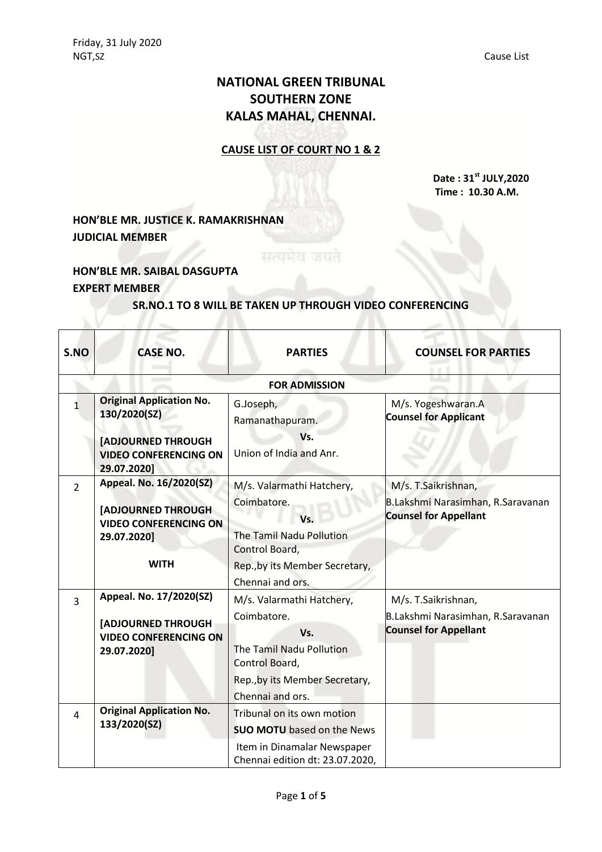# **NATIONAL GREEN TRIBUNAL SOUTHERN ZONE KALAS MAHAL, CHENNAI.**

### **CAUSE LIST OF COURT NO 1 & 2**

**Date : 31st JULY,2020 Time : 10.30 A.M.**

## **HON'BLE MR. JUSTICE K. RAMAKRISHNAN JUDICIAL MEMBER**

### **HON'BLE MR. SAIBAL DASGUPTA EXPERT MEMBER**

#### **SR.NO.1 TO 8 WILL BE TAKEN UP THROUGH VIDEO CONFERENCING**

सत्यमेव जयत

| S.NO           | <b>CASE NO.</b>                                                                                                    | <b>PARTIES</b>                                                                                                                    | <b>COUNSEL FOR PARTIES</b>                                                               |  |
|----------------|--------------------------------------------------------------------------------------------------------------------|-----------------------------------------------------------------------------------------------------------------------------------|------------------------------------------------------------------------------------------|--|
|                | <b>FOR ADMISSION</b>                                                                                               |                                                                                                                                   |                                                                                          |  |
| $\mathbf{1}$   | <b>Original Application No.</b><br>130/2020(SZ)                                                                    | G.Joseph,<br>Ramanathapuram.                                                                                                      | M/s. Yogeshwaran.A<br><b>Counsel for Applicant</b>                                       |  |
|                | <b>[ADJOURNED THROUGH</b><br><b>VIDEO CONFERENCING ON</b><br>29.07.2020]                                           | Vs.<br>Union of India and Anr.                                                                                                    |                                                                                          |  |
| $\overline{2}$ | Appeal. No. 16/2020(SZ)<br><b>[ADJOURNED THROUGH</b><br><b>VIDEO CONFERENCING ON</b><br>29.07.2020]<br><b>WITH</b> | M/s. Valarmathi Hatchery,<br>Coimbatore.<br>Vs.<br>The Tamil Nadu Pollution<br>Control Board,<br>Rep., by its Member Secretary,   | M/s. T.Saikrishnan,<br>B.Lakshmi Narasimhan, R.Saravanan<br><b>Counsel for Appellant</b> |  |
|                |                                                                                                                    | Chennai and ors.                                                                                                                  |                                                                                          |  |
| $\overline{3}$ | Appeal. No. 17/2020(SZ)                                                                                            | M/s. Valarmathi Hatchery,                                                                                                         | M/s. T.Saikrishnan,                                                                      |  |
|                | [ADJOURNED THROUGH<br><b>VIDEO CONFERENCING ON</b><br>29.07.2020]                                                  | Coimbatore.<br>Vs.<br>The Tamil Nadu Pollution<br>Control Board,                                                                  | B.Lakshmi Narasimhan, R.Saravanan<br><b>Counsel for Appellant</b>                        |  |
|                |                                                                                                                    | Rep., by its Member Secretary,<br>Chennai and ors.                                                                                |                                                                                          |  |
| $\overline{4}$ | <b>Original Application No.</b><br>133/2020(SZ)                                                                    | Tribunal on its own motion<br><b>SUO MOTU</b> based on the News<br>Item in Dinamalar Newspaper<br>Chennai edition dt: 23.07.2020, |                                                                                          |  |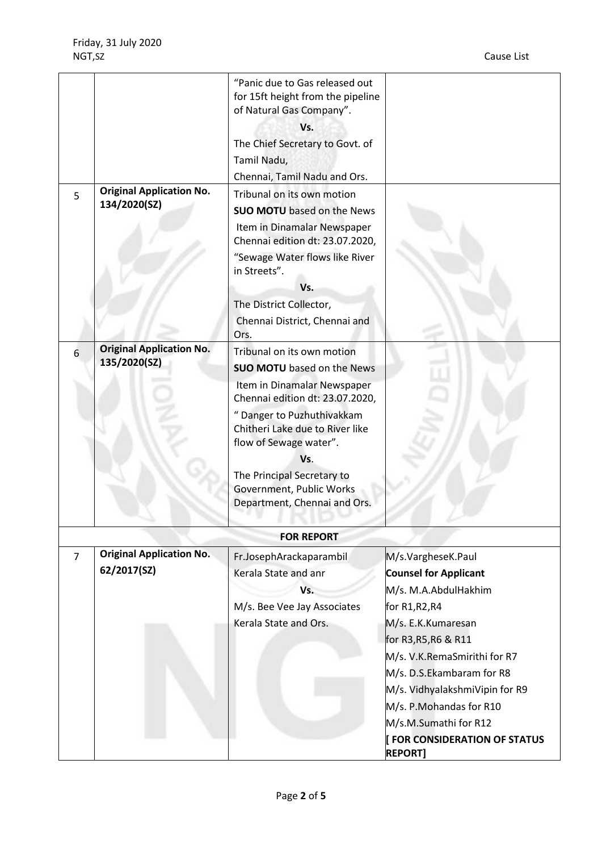| 5              | <b>Original Application No.</b><br>134/2020(SZ) | "Panic due to Gas released out<br>for 15ft height from the pipeline<br>of Natural Gas Company".<br>Vs.<br>The Chief Secretary to Govt. of<br>Tamil Nadu,<br>Chennai, Tamil Nadu and Ors.<br>Tribunal on its own motion<br><b>SUO MOTU</b> based on the News<br>Item in Dinamalar Newspaper                                    |                                                                                                                                                                                                                                                                                                                                                       |
|----------------|-------------------------------------------------|-------------------------------------------------------------------------------------------------------------------------------------------------------------------------------------------------------------------------------------------------------------------------------------------------------------------------------|-------------------------------------------------------------------------------------------------------------------------------------------------------------------------------------------------------------------------------------------------------------------------------------------------------------------------------------------------------|
|                |                                                 | Chennai edition dt: 23.07.2020,<br>"Sewage Water flows like River<br>in Streets".<br>Vs.<br>The District Collector,<br>Chennai District, Chennai and<br>Ors.                                                                                                                                                                  |                                                                                                                                                                                                                                                                                                                                                       |
| 6              | <b>Original Application No.</b><br>135/2020(SZ) | Tribunal on its own motion<br><b>SUO MOTU</b> based on the News<br>Item in Dinamalar Newspaper<br>Chennai edition dt: 23.07.2020,<br>" Danger to Puzhuthivakkam<br>Chitheri Lake due to River like<br>flow of Sewage water".<br>Vs.<br>The Principal Secretary to<br>Government, Public Works<br>Department, Chennai and Ors. |                                                                                                                                                                                                                                                                                                                                                       |
|                |                                                 | <b>FOR REPORT</b>                                                                                                                                                                                                                                                                                                             |                                                                                                                                                                                                                                                                                                                                                       |
| $\overline{7}$ | <b>Original Application No.</b><br>62/2017(SZ)  | Fr.JosephArackaparambil<br>Kerala State and anr<br>Vs.<br>M/s. Bee Vee Jay Associates<br>Kerala State and Ors.                                                                                                                                                                                                                | M/s.VargheseK.Paul<br><b>Counsel for Applicant</b><br>M/s. M.A.AbdulHakhim<br>for R1, R2, R4<br>M/s. E.K.Kumaresan<br>for R3, R5, R6 & R11<br>M/s. V.K.RemaSmirithi for R7<br>M/s. D.S.Ekambaram for R8<br>M/s. VidhyalakshmiVipin for R9<br>M/s. P.Mohandas for R10<br>M/s.M.Sumathi for R12<br><b>FOR CONSIDERATION OF STATUS</b><br><b>REPORT]</b> |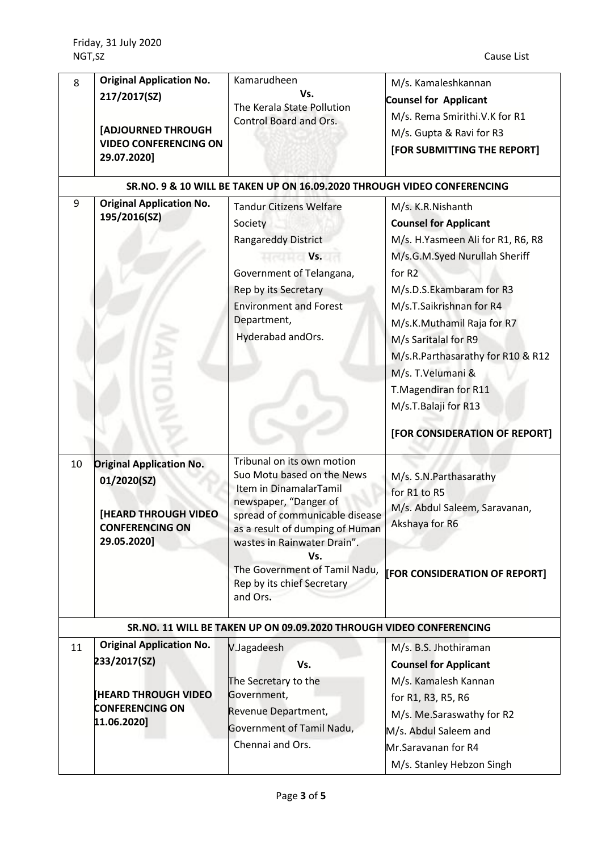| 8  | <b>Original Application No.</b><br>217/2017(SZ)<br>[ADJOURNED THROUGH<br><b>VIDEO CONFERENCING ON</b><br>29.07.2020]   | Kamarudheen<br>Vs.<br>The Kerala State Pollution<br>Control Board and Ors.                                                                                                                                                                                                                           | M/s. Kamaleshkannan<br><b>Counsel for Applicant</b><br>M/s. Rema Smirithi.V.K for R1<br>M/s. Gupta & Ravi for R3<br>[FOR SUBMITTING THE REPORT]                                                                                                                                                                                                                                            |
|----|------------------------------------------------------------------------------------------------------------------------|------------------------------------------------------------------------------------------------------------------------------------------------------------------------------------------------------------------------------------------------------------------------------------------------------|--------------------------------------------------------------------------------------------------------------------------------------------------------------------------------------------------------------------------------------------------------------------------------------------------------------------------------------------------------------------------------------------|
| 9  | <b>Original Application No.</b><br>195/2016(SZ)                                                                        | SR.NO. 9 & 10 WILL BE TAKEN UP ON 16.09.2020 THROUGH VIDEO CONFERENCING<br><b>Tandur Citizens Welfare</b><br>Society<br><b>Rangareddy District</b><br><b>Example 19 Vs.</b><br>Government of Telangana,<br>Rep by its Secretary<br><b>Environment and Forest</b><br>Department,<br>Hyderabad andOrs. | M/s. K.R.Nishanth<br><b>Counsel for Applicant</b><br>M/s. H.Yasmeen Ali for R1, R6, R8<br>M/s.G.M.Syed Nurullah Sheriff<br>for R2<br>M/s.D.S.Ekambaram for R3<br>M/s.T.Saikrishnan for R4<br>M/s.K.Muthamil Raja for R7<br>M/s Saritalal for R9<br>M/s.R.Parthasarathy for R10 & R12<br>M/s. T.Velumani &<br>T.Magendiran for R11<br>M/s.T.Balaji for R13<br>[FOR CONSIDERATION OF REPORT] |
| 10 | <b>Original Application No.</b><br>01/2020(SZ)<br><b>[HEARD THROUGH VIDEO</b><br><b>CONFERENCING ON</b><br>29.05.2020] | Tribunal on its own motion<br>Suo Motu based on the News<br>Item in DinamalarTamil<br>newspaper, "Danger of<br>spread of communicable disease<br>as a result of dumping of Human<br>wastes in Rainwater Drain".<br>Vs.<br>The Government of Tamil Nadu,<br>Rep by its chief Secretary<br>and Ors.    | M/s. S.N. Parthasarathy<br>for R1 to R5<br>M/s. Abdul Saleem, Saravanan,<br>Akshaya for R6<br><b>FOR CONSIDERATION OF REPORT]</b>                                                                                                                                                                                                                                                          |
|    |                                                                                                                        | SR.NO. 11 WILL BE TAKEN UP ON 09.09.2020 THROUGH VIDEO CONFERENCING                                                                                                                                                                                                                                  |                                                                                                                                                                                                                                                                                                                                                                                            |
| 11 | <b>Original Application No.</b><br>233/2017(SZ)<br><b>HEARD THROUGH VIDEO</b><br><b>CONFERENCING ON</b>                | V.Jagadeesh<br>Vs.<br>The Secretary to the<br>Government,<br>Revenue Department,                                                                                                                                                                                                                     | M/s. B.S. Jhothiraman<br><b>Counsel for Applicant</b><br>M/s. Kamalesh Kannan<br>for R1, R3, R5, R6                                                                                                                                                                                                                                                                                        |
|    | 11.06.2020]                                                                                                            | Government of Tamil Nadu,<br>Chennai and Ors.                                                                                                                                                                                                                                                        | M/s. Me.Saraswathy for R2<br>M/s. Abdul Saleem and<br>Mr.Saravanan for R4<br>M/s. Stanley Hebzon Singh                                                                                                                                                                                                                                                                                     |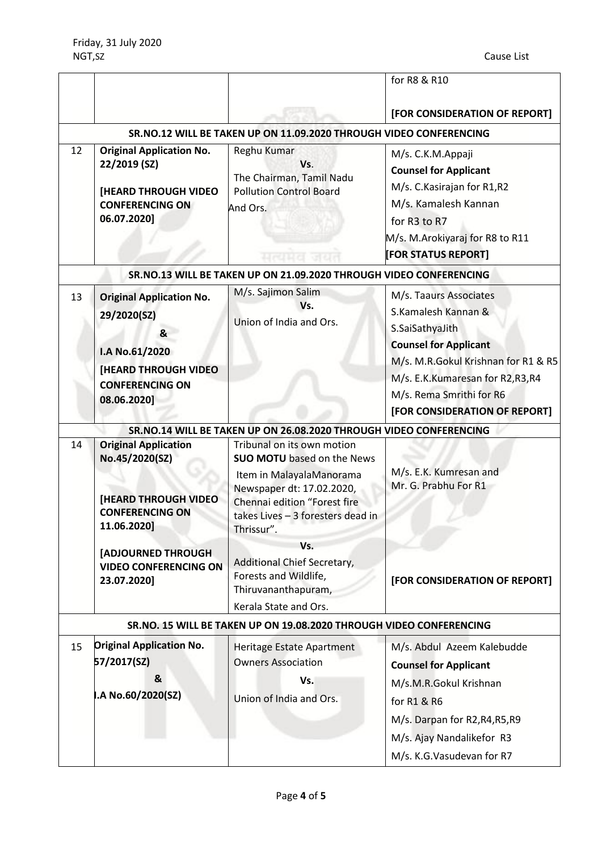|    |                                                                                                                                               |                                                                                                                                                                                                             | for R8 & R10                                                                                                                                                                                                                            |
|----|-----------------------------------------------------------------------------------------------------------------------------------------------|-------------------------------------------------------------------------------------------------------------------------------------------------------------------------------------------------------------|-----------------------------------------------------------------------------------------------------------------------------------------------------------------------------------------------------------------------------------------|
|    |                                                                                                                                               |                                                                                                                                                                                                             | [FOR CONSIDERATION OF REPORT]                                                                                                                                                                                                           |
|    |                                                                                                                                               | SR.NO.12 WILL BE TAKEN UP ON 11.09.2020 THROUGH VIDEO CONFERENCING                                                                                                                                          |                                                                                                                                                                                                                                         |
| 12 | <b>Original Application No.</b><br>22/2019 (SZ)<br><b>[HEARD THROUGH VIDEO</b><br><b>CONFERENCING ON</b><br>06.07.2020]                       | Reghu Kumar<br>Vs.<br>The Chairman, Tamil Nadu<br><b>Pollution Control Board</b><br>And Ors.<br>मत्यमत                                                                                                      | M/s. C.K.M.Appaji<br><b>Counsel for Applicant</b><br>M/s. C. Kasirajan for R1,R2<br>M/s. Kamalesh Kannan<br>for R3 to R7<br>M/s. M.Arokiyaraj for R8 to R11<br>[FOR STATUS REPORT]                                                      |
|    |                                                                                                                                               | SR.NO.13 WILL BE TAKEN UP ON 21.09.2020 THROUGH VIDEO CONFERENCING                                                                                                                                          |                                                                                                                                                                                                                                         |
| 13 | <b>Original Application No.</b><br>29/2020(SZ)<br>&<br>I.A No.61/2020<br><b>[HEARD THROUGH VIDEO</b><br><b>CONFERENCING ON</b><br>08.06.2020] | M/s. Sajimon Salim<br>Vs.<br>Union of India and Ors.                                                                                                                                                        | M/s. Taaurs Associates<br>S.Kamalesh Kannan &<br>S.SaiSathyaJith<br><b>Counsel for Applicant</b><br>M/s. M.R.Gokul Krishnan for R1 & R5<br>M/s. E.K.Kumaresan for R2,R3,R4<br>M/s. Rema Smrithi for R6<br>[FOR CONSIDERATION OF REPORT] |
|    |                                                                                                                                               | SR.NO.14 WILL BE TAKEN UP ON 26.08.2020 THROUGH VIDEO CONFERENCING                                                                                                                                          |                                                                                                                                                                                                                                         |
| 14 | <b>Original Application</b><br>No.45/2020(SZ)<br><b>[HEARD THROUGH VIDEO</b><br><b>CONFERENCING ON</b><br>11.06.2020]                         | Tribunal on its own motion<br><b>SUO MOTU</b> based on the News<br>Item in MalayalaManorama<br>Newspaper dt: 17.02.2020,<br>Chennai edition "Forest fire<br>takes Lives - 3 foresters dead in<br>Thrissur". | M/s. E.K. Kumresan and<br>Mr. G. Prabhu For R1                                                                                                                                                                                          |
|    | [ADJOURNED THROUGH<br><b>VIDEO CONFERENCING ON</b><br>23.07.2020]                                                                             | Vs.<br>Additional Chief Secretary,<br>Forests and Wildlife,<br>Thiruvananthapuram,<br>Kerala State and Ors.                                                                                                 | [FOR CONSIDERATION OF REPORT]                                                                                                                                                                                                           |
|    |                                                                                                                                               | SR.NO. 15 WILL BE TAKEN UP ON 19.08.2020 THROUGH VIDEO CONFERENCING                                                                                                                                         |                                                                                                                                                                                                                                         |
| 15 | <b>Original Application No.</b><br>57/2017(SZ)<br>&                                                                                           | Heritage Estate Apartment<br><b>Owners Association</b><br>Vs.                                                                                                                                               | M/s. Abdul Azeem Kalebudde<br><b>Counsel for Applicant</b><br>M/s.M.R.Gokul Krishnan                                                                                                                                                    |
|    | .A No.60/2020(SZ)                                                                                                                             | Union of India and Ors.                                                                                                                                                                                     | for R1 & R6<br>M/s. Darpan for R2, R4, R5, R9<br>M/s. Ajay Nandalikefor R3<br>M/s. K.G. Vasudevan for R7                                                                                                                                |